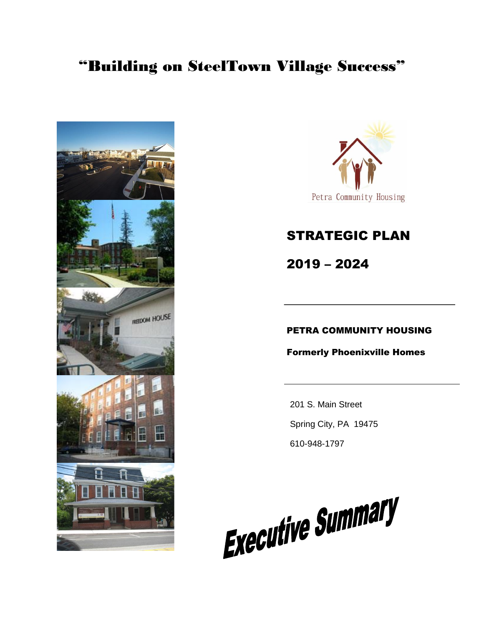# "Building on SteelTown Village Success"





# STRATEGIC PLAN

2019 – 2024

### PETRA COMMUNITY HOUSING

Formerly Phoenixville Homes

201 S. Main Street Spring City, PA 19475 610-948-1797

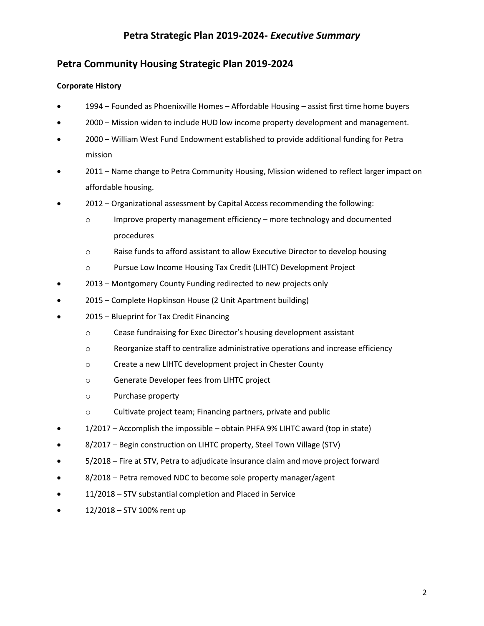## **Petra Community Housing Strategic Plan 2019-2024**

### **Corporate History**

- 1994 Founded as Phoenixville Homes Affordable Housing assist first time home buyers
- 2000 Mission widen to include HUD low income property development and management.
- 2000 William West Fund Endowment established to provide additional funding for Petra mission
- 2011 Name change to Petra Community Housing, Mission widened to reflect larger impact on affordable housing.
- 2012 Organizational assessment by Capital Access recommending the following:
	- $\circ$  Improve property management efficiency more technology and documented procedures
	- o Raise funds to afford assistant to allow Executive Director to develop housing
	- o Pursue Low Income Housing Tax Credit (LIHTC) Development Project
- 2013 Montgomery County Funding redirected to new projects only
- 2015 Complete Hopkinson House (2 Unit Apartment building)
- 2015 Blueprint for Tax Credit Financing
	- o Cease fundraising for Exec Director's housing development assistant
	- o Reorganize staff to centralize administrative operations and increase efficiency
	- o Create a new LIHTC development project in Chester County
	- o Generate Developer fees from LIHTC project
	- o Purchase property
	- o Cultivate project team; Financing partners, private and public
- 1/2017 Accomplish the impossible obtain PHFA 9% LIHTC award (top in state)
- 8/2017 Begin construction on LIHTC property, Steel Town Village (STV)
- 5/2018 Fire at STV, Petra to adjudicate insurance claim and move project forward
- 8/2018 Petra removed NDC to become sole property manager/agent
- 11/2018 STV substantial completion and Placed in Service
- 12/2018 STV 100% rent up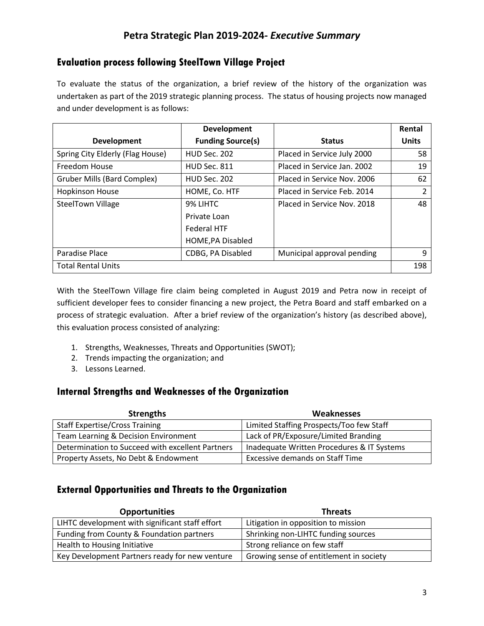### **Evaluation process following SteelTown Village Project**

To evaluate the status of the organization, a brief review of the history of the organization was undertaken as part of the 2019 strategic planning process. The status of housing projects now managed and under development is as follows:

|                                    | <b>Development</b>       |                             | Rental       |
|------------------------------------|--------------------------|-----------------------------|--------------|
| <b>Development</b>                 | <b>Funding Source(s)</b> | <b>Status</b>               | <b>Units</b> |
| Spring City Elderly (Flag House)   | <b>HUD Sec. 202</b>      | Placed in Service July 2000 | 58           |
| Freedom House                      | <b>HUD Sec. 811</b>      | Placed in Service Jan. 2002 | 19           |
| <b>Gruber Mills (Bard Complex)</b> | <b>HUD Sec. 202</b>      | Placed in Service Nov. 2006 | 62           |
| <b>Hopkinson House</b>             | HOME, Co. HTF            | Placed in Service Feb. 2014 | 2            |
| <b>SteelTown Village</b>           | 9% LIHTC                 | Placed in Service Nov. 2018 | 48           |
|                                    | Private Loan             |                             |              |
|                                    | <b>Federal HTF</b>       |                             |              |
|                                    | HOME, PA Disabled        |                             |              |
| Paradise Place                     | CDBG, PA Disabled        | Municipal approval pending  | 9            |
| <b>Total Rental Units</b>          |                          |                             | 198          |

With the SteelTown Village fire claim being completed in August 2019 and Petra now in receipt of sufficient developer fees to consider financing a new project, the Petra Board and staff embarked on a process of strategic evaluation. After a brief review of the organization's history (as described above), this evaluation process consisted of analyzing:

- 1. Strengths, Weaknesses, Threats and Opportunities (SWOT);
- 2. Trends impacting the organization; and
- 3. Lessons Learned.

### **Internal Strengths and Weaknesses of the Organization**

| <b>Strengths</b>                                 | <b>Weaknesses</b>                          |
|--------------------------------------------------|--------------------------------------------|
| <b>Staff Expertise/Cross Training</b>            | Limited Staffing Prospects/Too few Staff   |
| Team Learning & Decision Environment             | Lack of PR/Exposure/Limited Branding       |
| Determination to Succeed with excellent Partners | Inadequate Written Procedures & IT Systems |
| Property Assets, No Debt & Endowment             | <b>Excessive demands on Staff Time</b>     |

### **External Opportunities and Threats to the Organization**

| <b>Opportunities</b>                            | <b>Threats</b>                          |
|-------------------------------------------------|-----------------------------------------|
| LIHTC development with significant staff effort | Litigation in opposition to mission     |
| Funding from County & Foundation partners       | Shrinking non-LIHTC funding sources     |
| Health to Housing Initiative                    | Strong reliance on few staff            |
| Key Development Partners ready for new venture  | Growing sense of entitlement in society |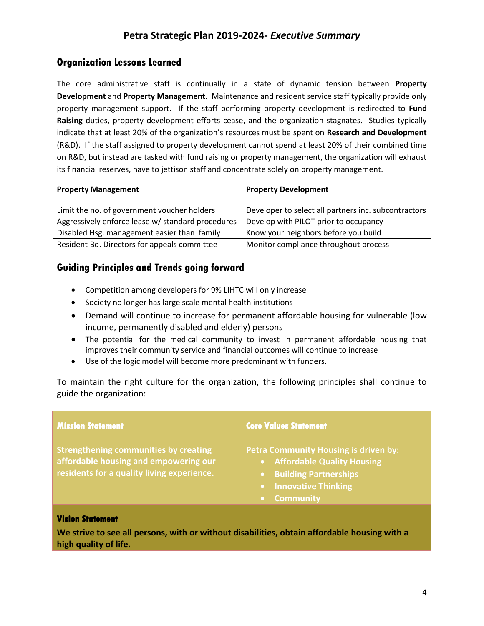### **Organization Lessons Learned**

The core administrative staff is continually in a state of dynamic tension between **Property Development** and **Property Management**. Maintenance and resident service staff typically provide only property management support. If the staff performing property development is redirected to **Fund Raising** duties, property development efforts cease, and the organization stagnates. Studies typically indicate that at least 20% of the organization's resources must be spent on **Research and Development** (R&D). If the staff assigned to property development cannot spend at least 20% of their combined time on R&D, but instead are tasked with fund raising or property management, the organization will exhaust its financial reserves, have to jettison staff and concentrate solely on property management.

### **Property Management Property Development**

| Limit the no. of government voucher holders       | Developer to select all partners inc. subcontractors |
|---------------------------------------------------|------------------------------------------------------|
| Aggressively enforce lease w/ standard procedures | Develop with PILOT prior to occupancy                |
| Disabled Hsg. management easier than family       | Know your neighbors before you build                 |
| Resident Bd. Directors for appeals committee      | Monitor compliance throughout process                |

### **Guiding Principles and Trends going forward**

- Competition among developers for 9% LIHTC will only increase
- Society no longer has large scale mental health institutions
- Demand will continue to increase for permanent affordable housing for vulnerable (low income, permanently disabled and elderly) persons
- The potential for the medical community to invest in permanent affordable housing that improves their community service and financial outcomes will continue to increase
- Use of the logic model will become more predominant with funders.

To maintain the right culture for the organization, the following principles shall continue to guide the organization:

| <b>Mission Statement</b>                                                                                                            | <b>Core Values Statement</b>                                                                                                                              |
|-------------------------------------------------------------------------------------------------------------------------------------|-----------------------------------------------------------------------------------------------------------------------------------------------------------|
| <b>Strengthening communities by creating</b><br>affordable housing and empowering our<br>residents for a quality living experience. | <b>Petra Community Housing is driven by:</b><br>• Affordable Quality Housing<br>• Building Partnerships<br><b>Innovative Thinking</b><br><b>Community</b> |
|                                                                                                                                     |                                                                                                                                                           |

### **Vision Statement**

**We strive to see all persons, with or without disabilities, obtain affordable housing with a high quality of life.**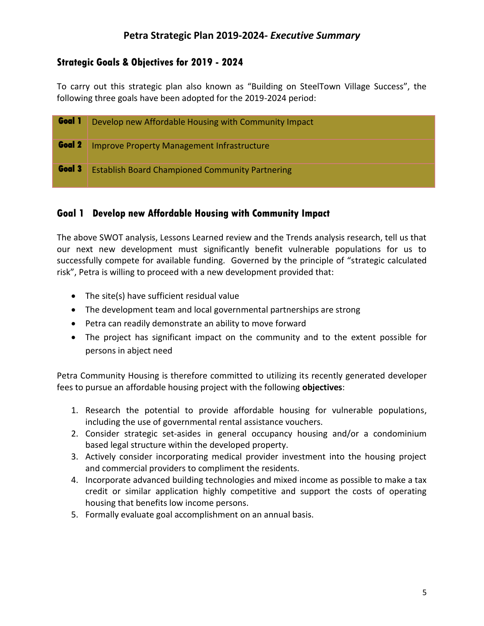### **Strategic Goals & Objectives for 2019 - 2024**

To carry out this strategic plan also known as "Building on SteelTown Village Success", the following three goals have been adopted for the 2019-2024 period:

| Goal 1 | Develop new Affordable Housing with Community Impact   |
|--------|--------------------------------------------------------|
| Goal 2 | <b>Improve Property Management Infrastructure</b>      |
| Goal 3 | <b>Establish Board Championed Community Partnering</b> |

### **Goal 1 Develop new Affordable Housing with Community Impact**

The above SWOT analysis, Lessons Learned review and the Trends analysis research, tell us that our next new development must significantly benefit vulnerable populations for us to successfully compete for available funding. Governed by the principle of "strategic calculated risk", Petra is willing to proceed with a new development provided that:

- The site(s) have sufficient residual value
- The development team and local governmental partnerships are strong
- Petra can readily demonstrate an ability to move forward
- The project has significant impact on the community and to the extent possible for persons in abject need

Petra Community Housing is therefore committed to utilizing its recently generated developer fees to pursue an affordable housing project with the following **objectives**:

- 1. Research the potential to provide affordable housing for vulnerable populations, including the use of governmental rental assistance vouchers.
- 2. Consider strategic set-asides in general occupancy housing and/or a condominium based legal structure within the developed property.
- 3. Actively consider incorporating medical provider investment into the housing project and commercial providers to compliment the residents.
- 4. Incorporate advanced building technologies and mixed income as possible to make a tax credit or similar application highly competitive and support the costs of operating housing that benefits low income persons.
- 5. Formally evaluate goal accomplishment on an annual basis.